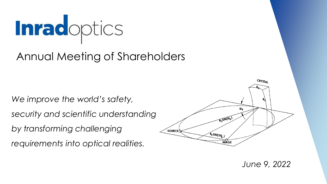

## Annual Meeting of Shareholders

*We improve the world's safety,* 

*security and scientific understanding* 

*by transforming challenging* 

*requirements into optical realities.*



*June 9, 2022*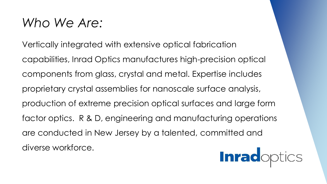## *Who We Are:*

Vertically integrated with extensive optical fabrication capabilities, Inrad Optics manufactures high-precision optical components from glass, crystal and metal. Expertise includes proprietary crystal assemblies for nanoscale surface analysis, production of extreme precision optical surfaces and large form factor optics. R & D, engineering and manufacturing operations are conducted in New Jersey by a talented, committed and diverse workforce.

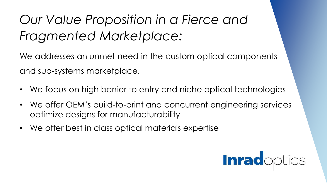## *Our Value Proposition in a Fierce and Fragmented Marketplace:*

We addresses an unmet need in the custom optical components and sub-systems marketplace.

- We focus on high barrier to entry and niche optical technologies
- We offer OEM's build-to-print and concurrent engineering services optimize designs for manufacturability
- We offer best in class optical materials expertise

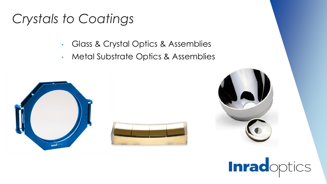## *Crystals to Coatings*

- Glass & Crystal Optics & Assemblies
- Metal Substrate Optics & Assemblies





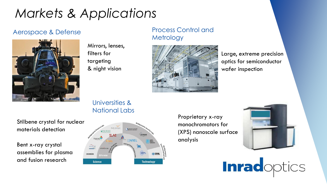## *Markets & Applications*



Mirrors, lenses, filters for targeting & night vision

#### Aerospace & Defense **Process Control and Metrology**



Large, extreme precision optics for semiconductor wafer inspection

### Universities & National Labs

Stilbene crystal for nuclear materials detection

Bent x-ray crystal assemblies for plasma and fusion research



Proprietary x-ray monochromators for (XPS) nanoscale surface analysis



**Inradoptics**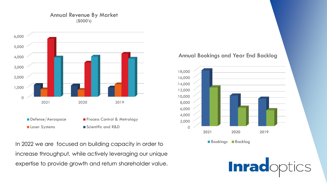#### Annual Revenue By Market (\$000's)



In 2022 we are focused on building capacity in order to increase throughput, while actively leveraging our unique expertise to provide growth and return shareholder value.

#### Annual Bookings and Year End Backlog